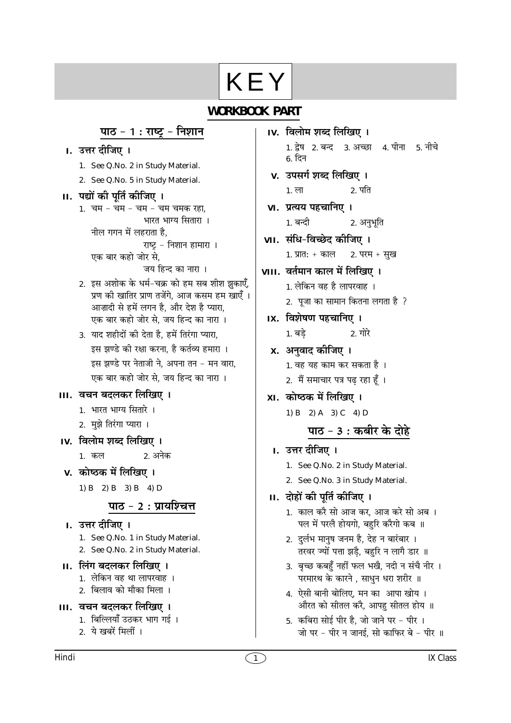# KEY

## **WORKBOOK PART**

## <u>पाठ - 1 : राष्ट्र</u> - निशान

I. उत्तर दीजिए ।

- 1. See Q.No. 2 in Study Material.
- 2. See Q.No. 5 in Study Material.
- II. पद्यों की पूर्ति कीजिए ।
	- 1. चम चम चम चम चमक रहा, भारत भाग्य सितारा । नील गगन में लहराता है. राष्ट्र - निशान हामारा । एक बार कहो जोर से, जय हिन्द का नारा ।
	- 2. इस अशोक के धर्म-चक्र को हम सब शीश झुकाएँ, प्रण की खातिर प्राण तर्जेंगे, आज कसम हम खाएँ । आज़ादी से हमें लगन है. और देश है प्यारा. एक बार कहो जोर से. जय हिन्द का नारा ।
	- 3. याद शहीदों की देता है. हमें तिरंगा प्यारा. इस झण्डे की रक्षा करना, है कर्तव्य हमारा । इस झण्डे पर नेताजी ने, अपना तन - मन वारा, एक बार कहो जोर से, जय हिन्द का नारा ।

#### III. वचन बदलकर लिखिए ।

- 1. भारत भाग्य सितारे ।
- 2. मुझे तिरंगा प्यारा ।
- IV. विलोम शब्द लिखिए ।
	- 1. कल 2. अनेक
- v. कोष्ठक में लिखिए । 1) B 2) B 3) B 4) D

## पाठ - 2 : प्रायश्चित्त

- ा. उत्तर दीजिए । 1. See Q.No. 1 in Study Material. 2. See Q.No. 2 in Study Material.
- II. लिंग बदलकर लिखिए ।
	- 1. लेकिन वह था लापरवाह ।
	- 2. बिलाव को मौका मिला ।
- III. वचन बदलकर लिखिए ।
	- 1. बिल्लियाँ उठकर भाग गई ।
	- 2. ये खबरें मिलीं ।
- IV. विलोम शब्द लिखिए । 1. द्वेष 2. बन्द 3. अच्छा 4. पीना 5. नीचे 6. दिन
- v. उपसर्ग शब्द लिखिए । 2. पति  $1. \overline{c}$
- VI. प्रत्यय पहचानिए । 1. बन्दी 2. अनुभूति
- VII. संधि-विच्छेद कीजिए ।
	- 1. प्रात: + काल 2. परम + सुख
- VIII. वर्तमान काल में लिखिए ।
	- 1. लेकिन वह है लापरवाह ।
	- 2. पूजा का सामान कितना लगता है ?
- IX. विशेषण पहचानिए । 1. बडे  $2.$  गोरे
- x. अनुवाद कीजिए ।
	- 1. वह यह काम कर सकता है ।
		- 2. मैं समाचार पत्र पढ़ रहा हूँ ।
- XI. कोष्ठक में लिखिए।
	- 1) B 2) A 3) C 4) D

# पाठ - 3 : कबीर के दोहे

- I. उत्तर दीजिए ।
	- 1. See Q.No. 2 in Study Material.
	- 2. See Q.No. 3 in Study Material.
- II. दोहों की पूर्ति कीजिए ।
	- 1. काल करै सो आज कर, आज करे सो अब । पल में परलै होयगो, बहुरि करैगो कब ॥
	- 2. दुर्लभ मानुष जनम है, देह न बारंबार । तरवर ज्यों पत्ता झडै, बहरि न लागै डार ॥
	- 3. बृच्छ कबहुँ नहीं फल भखै, नदी न संचै नीर । परमारथ के कारने, साधुन धरा शरीर ॥
	- 4. ऐसी बानी बोलिए, मन का आपा खोय। औरत को सीतल करै, आपह सीतल होय ॥
	- 5. कबिरा सोई पीर है. जो जाने पर पीर । जो पर - पीर न जानई, सो काफिर बे - पीर ॥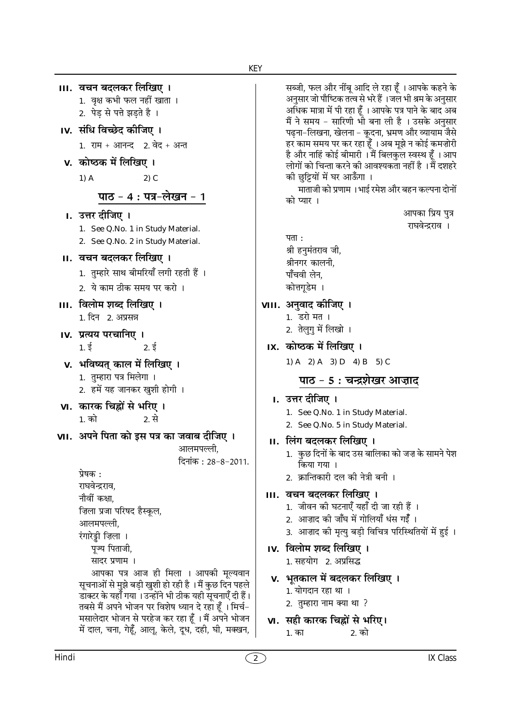| III.  वचन बदलकर लिखिए ।                                                                                   |  |
|-----------------------------------------------------------------------------------------------------------|--|
| 1. वृक्ष कभी फल नहीं खाता ।                                                                               |  |
| 2. पेड़ से पत्ते झड़ते है ।                                                                               |  |
| IV. संधि विच्छेद कीजिए ।                                                                                  |  |
| 1. राम + आनन्द   2. वेद + अन्त                                                                            |  |
| v.  कोष्ठक में लिखिए ।                                                                                    |  |
| $1)$ A<br>$2)$ C                                                                                          |  |
| पाठ - 4 : पत्र-लेखन - 1                                                                                   |  |
| I. उत्तर दीजिए ।                                                                                          |  |
| See Q.No. 1 in Study Material.<br>1.                                                                      |  |
| 2. See Q.No. 2 in Study Material.                                                                         |  |
| II. वचन बदलकर लिखिए ।                                                                                     |  |
| 1.  तुम्हारे साथ बीमरियाँ लगी रहती हैं ।                                                                  |  |
| 2. ये काम ठीक समय पर करो ।                                                                                |  |
| III.  विलोम शब्द लिखिए ।                                                                                  |  |
| 1. दिन   2. अप्रसन्न                                                                                      |  |
| IV. प्रत्यय परचानिए ।                                                                                     |  |
| $1. \xi$<br>2.5                                                                                           |  |
| v.  भविष्यत् काल में लिखिए ।                                                                              |  |
| 1.  तुम्हारा पत्र मिलेगा  ।                                                                               |  |
| 2. हमें यह जानकर खुशी होगी ।                                                                              |  |
| VI. कारक चिह्नों से भरिए ।                                                                                |  |
| 1. को<br>2. से                                                                                            |  |
| VII.  अपने पिता को इस पत्र का जवाब दीजिए ।                                                                |  |
| आलमपल्ली.                                                                                                 |  |
| दिनांक : 28–8–2011.                                                                                       |  |
| प्रेषक :<br>राघवेन्द्रराव,                                                                                |  |
| नौवीं कक्षा,                                                                                              |  |
| ज़िला प्रजा परिषद हैस्कूल,                                                                                |  |
| आलमपल्ली.                                                                                                 |  |
| रंगारेड्डी ज़िला                                                                                          |  |
| पूज्य पिताजी,                                                                                             |  |
| सादर प्रणाम ।                                                                                             |  |
| आपका पत्र आज ही मिला । आपकी मूल्यवान<br>सूचनाओं से मुझे बड़ी खुशी हो रही है । मैं कुछ दिन पहले            |  |
| डाक्टर के यहाँ गया । उन्होंने भी ठीक यही सूचनाएँ दी हैं।                                                  |  |
| तबसे मैं अपने भोजन पर विशेष ध्यान दे रहा हूँ । मिर्च-                                                     |  |
| मसालेदार भोजन से परहेज कर रहा हूँ । मैं अपने भोजन<br>में दाल, चना, गेहूँ, आलू, केले, दूध, दही, घी, मक्खन, |  |
|                                                                                                           |  |

सब्जी, फल और नींबू आदि ले रहा हूँ । आपके कहने के अनसार जो पौष्टिक तत्व से भरे हैं ।जल भी श्रम के अनसार अधिक मात्रा में पी रहा हूँ । आपके पत्र पाने के बाद अब<br>मैं ने समय – सारिणी भी बना ली है । उसके अनुसार पढ़ना-लिखना, खेलना - कूदना, भ्रमण और व्यायाम जैसे हर काम समय पर कर रहा हूँ । अब मूझे न कोई कमज़ोरी है और नाहिं कोई बीमारी । मैं बिलकुल स्वस्थ हूँ । आप लोगों को चिन्ता करने की आवश्यकता नहीं है । मैं दशहरे को छुट्टियों में घर आऊँगा ।

माताजी को प्रणाम । भाई रमेश और बहन कल्पना दोनों को प्यार ।

```
आपका प्रिय पुत्र
```
राघवेन्द्रराव ।

पता $:$ श्री हनुमंतराव जी, श्रीनगर कालनी. पाँचवी लेन. कोत्तगूडेम ।

#### VIII. अनुवाद कीजिए ।

- 1. डरो मत ।
- 2. तेलुगु में लिखो ।

### IX. कोष्ठक में लिखिए।

1) A 2) A 3) D 4) B 5) C

## पाठ - 5 : चन्द्रशेखर आज़ाद

### I. उत्तर दीजिए ।

- 1. See Q.No. 1 in Study Material.
- 2. See Q.No. 5 in Study Material.
- II. लिंग बदलकर लिखिए ।
	- 1. कुछ दिनों के बाद उस बालिका को जज़ के सामने पेश किया गया ।
	- 2. क्रान्तिकारी दल की नेत्री बनी ।

## III. वचन बदलकर लिखिए ।

- 1. जीवन की घटनाएँ यहाँ दी जा रही हैं ।
- 2. आज़ाद की जाँघ में गोलियाँ धंस गईँ ।
- 3. आज़ाद की मृत्यु बड़ी विचित्र परिस्थितियों में हुई।

# IV. विलोम शब्द लिखिए ।

- 1. सहयोग 2. अप्रसिद्ध
- v. भूतकाल में बदलकर लिखिए ।
	- 1. योगदान रहा था ।
	- 2. तुम्हारा नाम क्या था ?
- VI. सही कारक चिह्नों से भरिए।
	- 2. को  $1.$  का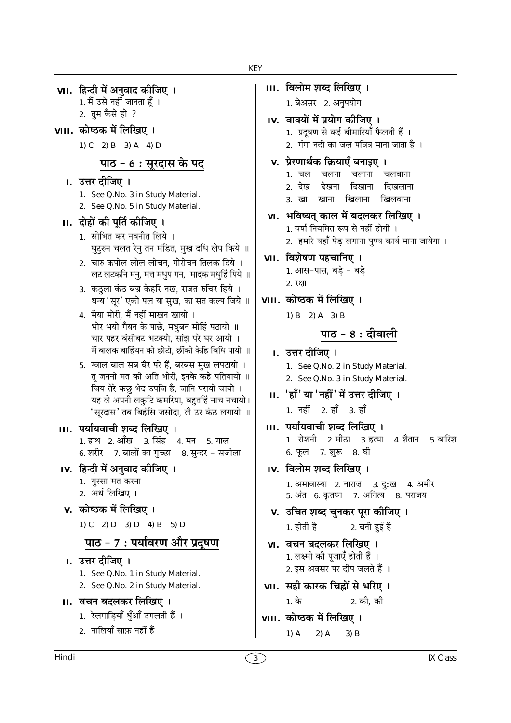1. मैं उसे नहीं जानता हूँ । 2. तुम कैसे हो ? VIII. कोष्ठक में लिखिए। 1) C 2) B 3) A 4) D पाठ - 6 : सूरदास के पद I. उत्तर दीजिए । 1. See Q.No. 3 in Study Material. 2. See Q.No. 5 in Study Material. II. दोहों की पूर्ति कीजिए । 1. सोभित कर नवनीत लिये । घुटुरुन चलत रेनु तन मंडित, मुख दधि लेप किये ॥ 2. चारु कपोल लोल लोचन, गोरोचन तिलक दिये । लट लटकनि मनु, मत्त मधुप गन, मादक मधुहिं पिये ॥ 3. कठला कंठ बज्र केहरि नख, राजत रुचिर हिये । धन्य 'सूर' एको पल या सुख, का सत कल्प जिये ॥ 4. मैया मोरी, मैं नहीं माखन खायो । भोर भयो गैयन के पाछे, मधुबन मोहिं पठायो ॥ चार पहर बंसीबट भटक्यो, सांझ परे घर आयो । मैं बालक बाहिंयन को छोटो, छींको केहि बिधि पायो ॥ 5. ग्वाल बाल सब बैर परे हैं, बरबस मुख लपटायो । तू जननी मत की अति भोरी, इनके कहे पतियायो ॥ जिय तेरे कछु भेद उपजि है, जानि परायो जायो । यह ले अपनी लकुटि कमरिया, बहुतहिं नाच नचायो। 'सूरदास' तब बिहंसि जसोदा, लै उर कंठ लगायो ॥ III. पर्यायवाची शब्द लिखिए । 1. हाथ 2. आँख 3. सिंह 4. मन 5. गाल 6. शरीर 7. बालों का गुच्छा 8. सुन्दर - सजीला IV. हिन्दी में अनवाद कीजिए । 1. गुस्सा मत करना 2. अर्थ लिखिए । v. कोष्ठक में लिखिए । 1) C 2) D 3) D 4) B 5) D पाठ - 7 : पर्यावरण और प्रदूषण I. उत्तर दीजिए । 1. See Q.No. 1 in Study Material. 2. See Q.No. 2 in Study Material. II. वचन बदलकर लिखिए । 1. रेलगाडियाँ धुँआँ उगलती हैं । 2. नालियाँ साफ़ नहीं हैं ।

VII. हिन्दी में अनवाद कीजिए ।

III. विलोम शब्द लिखिए । 1. बेअसर 2. अनुपयोग IV. वाक्यों में प्रयोग कीजिए । 1. प्रदूषण से कई बीमारियाँ फैलती हैं । 2. गंगा नदी का जल पवित्र माना जाता है । v. प्रेरणार्थक क्रियाएँ बनाइए । 1. चल चलना चलाना चलवाना १ देख देखना दिखाना दिखलाना खिलवाना 3. खा खाना खिलाना VI. भविष्यत् काल में बदलकर लिखिए । 1. वर्षा नियमित रूप से नहीं होगी । 2. हमारे यहाँ पेड लगाना पुण्य कार्य माना जायेगा । VII. विशेषण पहचानिए । 1. आस-पास, बडे - बडे 2. रक्षा VIII. कोष्ठक में लिखिए । 1) B 2) A 3) B पाठ - 8 : दीवाली I. उत्तर दीजिए । 1. See Q.No. 2 in Study Material. 2. See Q.No. 3 in Study Material. II. 'हाँ' या 'नहीं' में उत्तर दीजिए ।  $1.75\pm 2.5$   $3.5$ III. पर्यायवाची शब्द लिखिए । 1. रोशनी 2. मीठा 3. हत्या 4. शैतान 5. बारिश 6. फूल 7. शुरू 8. घी IV. विलोम शब्द लिखिए । 1. अमावास्या 2. नाराज़ 3. दु:ख 4. अमीर 5. अंत 6. कृतघ्न 7. अनित्य 8. पराजय v. उचित शब्द चुनकर पूरा कीजिए । 2. बनी हई है  $1.$  होती है VI. वचन बदलकर लिखिए । 1. लक्ष्मी की पूजाएँ होती हैं । 2. इस अवसर पर दीप जलते हैं । VII. सही कारक चिह्नों से भरिए ।  $1.\overline{25}$ 2. की. क<u>ी</u> VIII. कोष्ठक में लिखिए ।  $1)$  A  $2)$  A  $3)$  B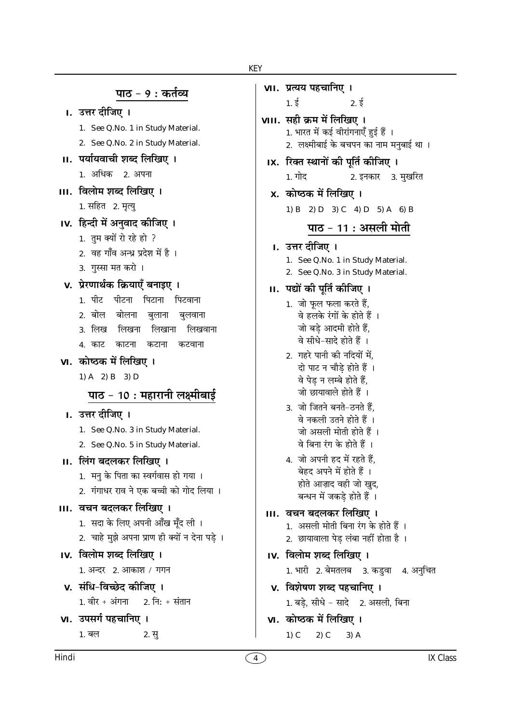## पाठ - 9 : कर्तव्य

| उत्तर दााजए |
|-------------|
|-------------|

- 1. See Q.No. 1 in Study Material.
- 2. See Q.No. 2 in Study Material.
- II. पर्यायवाची शब्द लिखिए । 1. अधिक 2. अपना
- III. विलोम शब्द लिखिए । 1. सहित 2. मृत्यु
- IV. हिन्दी में अनवाद कीजिए ।
	- 1. तम क्यों रो रहे हो ?
	- 2. वह गाँव अन्ध प्रदेश में है ।
	- 3. गस्सा मत करो।
- v. प्रेरणार्थक क्रियाएँ बनाइए ।
	- 1. पीट पीटना पिटाना पिटवाना
	- 2. बोल बोलना बलाना बलवाना
	- 3 लिख लिखना लिखाना लिखवाना
	- 4 काट काटना कटाना कटवाना
- VI. कोष्ठक में लिखिए ।
	- 1) A 2) B 3) D

# पाठ - 10 : महारानी लक्ष्मीबाई

### I. उत्तर दीजिए ।

- 1. See Q.No. 3 in Study Material.
- 2. See Q.No. 5 in Study Material.
- II. लिंग बदलकर लिखिए ।
	- 1. मन के पिता का स्वर्गवास हो गया ।
	- 2. गंगाधर राव ने एक बच्ची को गोद लिया ।
- III. वचन बदलकर लिखिए ।
	- 1. सदा के लिए अपनी आँख मूँद ली ।
	- 2. चाहे मुझे अपना प्राण ही क्यों न देना पड़े ।
- IV. विलोम शब्द लिखिए ।
	- 1. अन्दर 2. आकाश / गगन
- v. संधि-विच्छेद कीजिए ।  $1.$ वीर + अंगना <u> 2. नि: + संतान</u>
- VI. उपसर्ग पहचानिए । 1. बल  $2. \overline{5}$

था ।

2. See Q.No. 3 in Study Material.

## II. पद्यों की पर्ति कीजिए ।

- 1. जो फूल फला करते हैं. वे हलके रंगों के होते हैं । जो बडे आदमी होते हैं. वे सीधे-सादे होते हैं ।
- 2. गहरे पानी की नदियों में. दो पाट न चौडे होते हैं । वे पेड न लम्बे होते हैं, जो छायावाले होते हैं ।
- 3. जो जितने बनते-ठनते हैं. वे नकली उतने होते हैं । जो असली मोती होते हैं । वे बिना रंग के होते हैं ।
- 4. जो अपनी हद में रहते हैं, बेहद अपने में होते हैं । होते आज़ाद वही जो खद. बन्धन में जकडे होते हैं ।
- III. वचन बदलकर लिखिए ।
	- 1. असली मोती बिना रंग के होते हैं ।
	- 2. छायावाला पेड़ लंबा नहीं होता है ।
- IV. विलोम शब्द लिखिए ।
	- 1. भारी 2. बेमतलब 3. कडवा 4. अनचित
- v. विशेषण शब्द पहचानिए । 1. बड़े, सीधे - सादे 2. असली, बिना
- VI. कोष्ठक में लिखिए ।
	- $1)$  C  $2)$  C  $3)$  A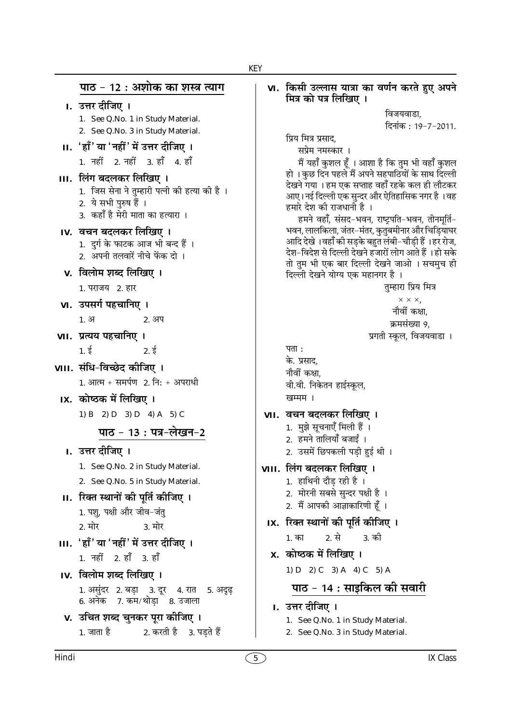पाठ - 12 : अशोक का शस्त्र त्याग ा. उत्तर दीजिए । 1. See Q.No. 1 in Study Material. 2. See Q.No. 3 in Study Material. II. 'हाँ' या 'नहीं' में उत्तर दीजिए । 1. नहीं 2. नहीं 3. हाँ 4. हाँ III. लिंग बदलकर लिखिए । 1. जिस सेना ने तुम्हारी पत्नी की हत्या की है । 2. ये सभी पुरुष हैं । 3. कहाँ है मेरी माता का हत्यारा । IV. वचन बदलकर लिखिए । 1. दुर्ग के फाटक आज भी बन्द हैं । 2. अपनी तलवारें नीचे फेंक दो । v. विलोम शब्द लिखिए । 1. पराजय 2. हार VI. उपसर्ग पहचानिए ।  $1.31$ 2. अप VII. प्रत्यय पहचानिए । पता:  $1.5$  $2.5$ के. प्रसाद, VIII. संधि-विच्छेद कीजिए । नौवीं कक्षा.  $1.$  आत्म + समर्पण  $2.$  नि: + अपराधी IX. कोष्ठक में लिखिए । खम्मम । 1) B 2) D 3) D 4) A 5) C पाठ - 13 : पत्र-लेखन-2 I. उत्तर दीजिए । 1. See Q.No. 2 in Study Material. 2. See Q.No. 5 in Study Material. II. रिक्त स्थानों की पूर्ति कीजिए । 1. पशु, पक्षी और जीव-जंतु 2. मोर 3. मोर 1. का III. 'हाँ' या 'नहीं' में उत्तर दीजिए । 1. नहीं 2. हाँ 3. हाँ IV. विलोम शब्द लिखिए । 1. असुंदर 2. बड़ा 3. दूर 4. रात 5. अदृढ़<br>6. अनेक 7. कम/थोड़ा 8. उजाला v. उचित शब्द चुनकर पूरा कीजिए । 2. करती है 3. पडते हैं  $1.$  जाता है

#### VI. किसी उल्लास यात्रा का वर्णन करते हुए अपने मित्र को पत्र लिखिए ।

विजयवाडा. दिनांक: 19-7-2011.

प्रिय मित्र प्रसाद,

सप्रेम नमस्कार ।

मैं यहाँ कुशल हूँ । आशा है कि तुम भी वहाँ कुशल हो । कुछ दिन पहले मैं अपने सहपाठियों के साथ दिल्ली देखने गया । हम एक सप्ताह वहाँ रहके कल ही लौटकर आए। नई दिल्ली एक सुन्दर और ऐतिहासिक नगर है ।वह हमारे देश की राजधानी है ।

हमने वहाँ, संसद-भवन, राष्ट्रपति-भवन, तीनमूर्ति-भवन, लालकिला, जंतर-मंतर, कतबमीनार और चिडियाघर आदि देखे ।वहाँ की सड़के बहुत लंबी-चौड़ी हैं ।हर रोज, देश-विदेश से दिल्ली देखने हजारों लोग आते हैं । हो सके तो तुम भी एक बार दिल्ली देखने जाओ । सचमुच ही दिल्ली देखने योग्य एक महानगर है ।

```
तम्हारा प्रिय मित्र
```

```
\times \times \timesनौवीं कक्षा.
```

```
क्रमसंख्या 9,
```
प्रगती स्कूल, विजयवाडा ।

वी.वी. निकेतन हाईस्कूल,

### VII. वचन बदलकर लिखिए ।

- 1. मुझे सूचनाएँ मिली हैं ।
- 2. हमने तालियाँ बजाईं ।
- 2. उसमें छिपकली पड़ी हुई थी।

### VIII. लिंग बदलकर लिखिए ।

- 1. हाथिनी दौड रही है ।
- 2. मोरनी सबसे सुन्दर पक्षी है ।
- 2. मैं आपकी आज्ञाकारिणी हूँ ।
- IX. रिक्त स्थानों की पूर्ति कीजिए ।

2 से 3. की

- x. कोष्ठक में लिखिए ।
	- 1) D 2) C 3) A 4) C 5) A

## पाठ - 14 : साइकिल की सवारी

- I. उत्तर दीजिए ।
	- 1. See Q.No. 1 in Study Material.
	- 2. See Q.No. 3 in Study Material.